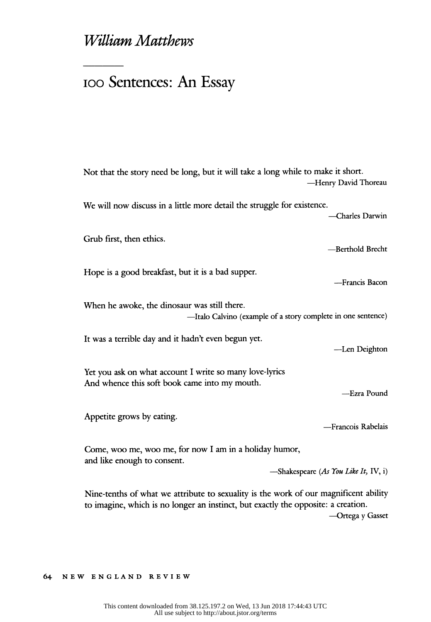# William Matthews

# ioo Sentences: An Essay

| Not that the story need be long, but it will take a long while to make it short.<br>-Henry David Thoreau                                                                  |  |
|---------------------------------------------------------------------------------------------------------------------------------------------------------------------------|--|
| We will now discuss in a little more detail the struggle for existence.<br>-Charles Darwin                                                                                |  |
| Grub first, then ethics.<br>-Berthold Brecht                                                                                                                              |  |
| Hope is a good breakfast, but it is a bad supper.<br>-Francis Bacon                                                                                                       |  |
| When he awoke, the dinosaur was still there.<br>-Italo Calvino (example of a story complete in one sentence)                                                              |  |
| It was a terrible day and it hadn't even begun yet.<br>-Len Deighton                                                                                                      |  |
| Yet you ask on what account I write so many love-lyrics<br>And whence this soft book came into my mouth.<br>-Ezra Pound                                                   |  |
| Appetite grows by eating.<br>-Francois Rabelais                                                                                                                           |  |
| Come, woo me, woo me, for now I am in a holiday humor,<br>and like enough to consent.<br>-Shakespeare (As You Like It, IV, i)                                             |  |
| Nine-tenths of what we attribute to sexuality is the work of our magnificent ability<br>to imagine, which is no longer an instinct, but exactly the opposite: a creation. |  |

--Ortega y Gasset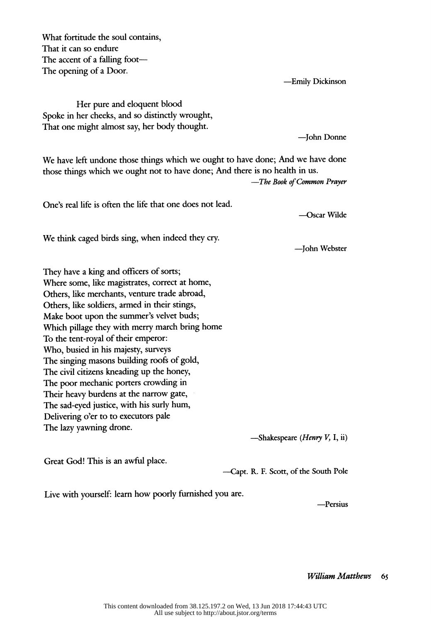What fortitude the soul contains, That it can so endure The accent of a falling foot-The opening of a Door.

-Emily Dickinson

 Her pure and eloquent blood Spoke in her cheeks, and so distinctly wrought, That one might almost say, her body thought.

- John Donne

 We have left undone those things which we ought to have done; And we have done those things which we ought not to have done; And there is no health in us.

-The Book of Common Prayer

One's real life is often the life that one does not lead.

-Oscar Wilde

We think caged birds sing, when indeed they cry.

- John Webster

 They have a king and officers of sorts; Where some, like magistrates, correct at home, Others, like merchants, venture trade abroad, Others, like soldiers, armed in their stings, Make boot upon the summer's velvet buds; Which pillage they with merry march bring home To the tent-royal of their emperor: Who, busied in his majesty, surveys The singing masons building roofs of gold, The civil citizens kneading up the honey, The poor mechanic porters crowding in Their heavy burdens at the narrow gate, The sad-eyed justice, with his surly hum, Delivering o'er to to executors pale The lazy yawning drone.

 $-$ Shakespeare (*Henry V*, I, ii)

Great God! This is an awful place.

-Capt. R. F. Scott, of the South Pole

Live with yourself: learn how poorly furnished you are.

-Persius

William Matthews 65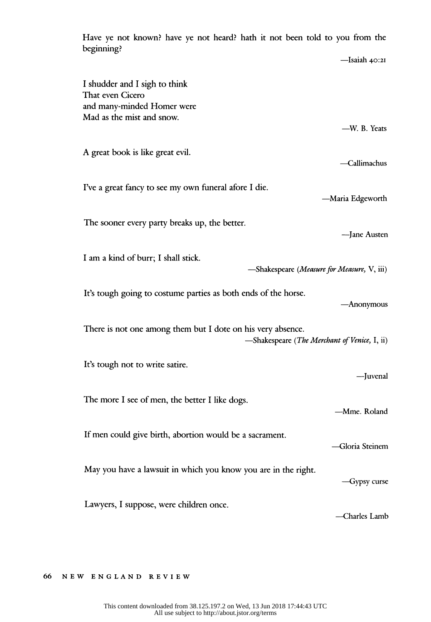| $\sim$ not known. have ye not heard. have it not been told to you from the<br>beginning?                    |                    |  |
|-------------------------------------------------------------------------------------------------------------|--------------------|--|
|                                                                                                             | $-$ Isaiah $40:2I$ |  |
| I shudder and I sigh to think<br>That even Cicero<br>and many-minded Homer were                             |                    |  |
| Mad as the mist and snow.                                                                                   | -W. B. Yeats       |  |
| A great book is like great evil.                                                                            | -Callimachus       |  |
| I've a great fancy to see my own funeral afore I die.                                                       | -Maria Edgeworth   |  |
| The sooner every party breaks up, the better.                                                               | -Jane Austen       |  |
| I am a kind of burr; I shall stick.<br>-Shakespeare (Measure for Measure, V, iii)                           |                    |  |
| It's tough going to costume parties as both ends of the horse.                                              | -Anonymous         |  |
| There is not one among them but I dote on his very absence.<br>-Shakespeare (The Merchant of Venice, I, ii) |                    |  |
| It's tough not to write satire.                                                                             | -Juvenal           |  |
| The more I see of men, the better I like dogs.                                                              | -Mme. Roland       |  |
| If men could give birth, abortion would be a sacrament.                                                     | Gloria Steinem     |  |
| May you have a lawsuit in which you know you are in the right.                                              | -Gypsy curse       |  |
| Lawyers, I suppose, were children once.                                                                     | -Charles Lamb      |  |

Have ye not known? have ye not heard? hath it not been told to you from the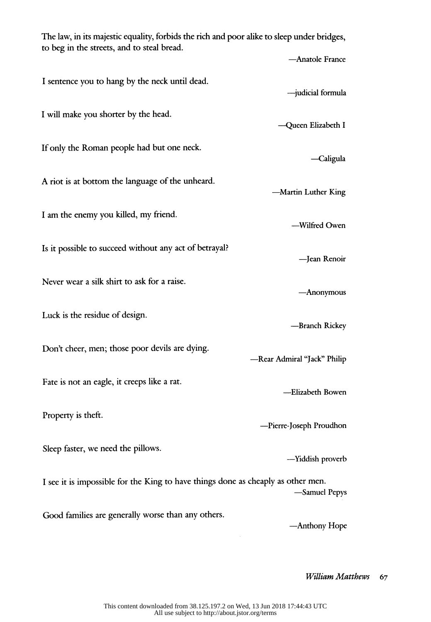The law, in its majestic equality, forbids the rich and poor alike to sleep under bridges, to beg in the streets, and to steal bread. - Anatole France I sentence you to hang by the neck until dead. - judicial formula I will make you shorter by the head. - Queen Elizabeth I If only the Roman people had but one neck. -Caligula A riot is at bottom the language of the unheard. -Martin Luther King I am the enemy you killed, my friend. -Wilfred Owen Is it possible to succeed without any act of betrayal? - Jean Renoir Never wear a silk shirt to ask for a raise. - Anonymous Luck is the residue of design. -Branch Rickey Don't cheer, men; those poor devils are dying. -Rear Admiral "Jack" Philip Fate is not an eagle, it creeps like a rat. -Elizabeth Bowen Property is theft. -Pierre-Joseph Proudhon Sleep faster, we need the pillows. -Yiddish proverb I see it is impossible for the King to have things done as cheaply as other men. -Samuel Pepys Good families are generally worse than any others. -Anthony Hope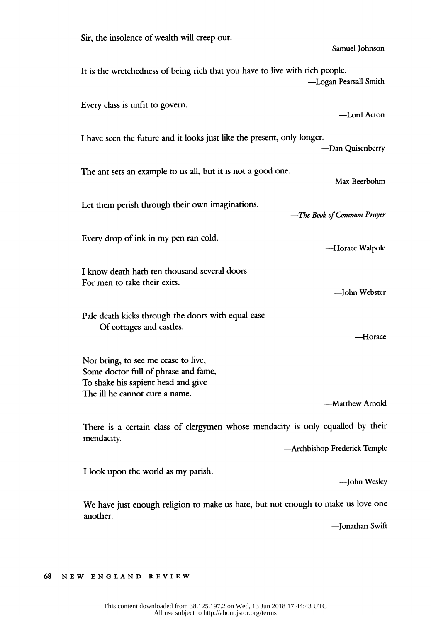| Sir, the insolence of wealth will creep out.<br>-Samuel Johnson                                                                                                        |  |
|------------------------------------------------------------------------------------------------------------------------------------------------------------------------|--|
| It is the wretchedness of being rich that you have to live with rich people.<br>-Logan Pearsall Smith                                                                  |  |
| Every class is unfit to govern.<br>-Lord Acton                                                                                                                         |  |
| I have seen the future and it looks just like the present, only longer.<br>-Dan Quisenberry                                                                            |  |
| The ant sets an example to us all, but it is not a good one.<br>—Max Beerbohm                                                                                          |  |
| Let them perish through their own imaginations.<br>-The Book of Common Prayer                                                                                          |  |
| Every drop of ink in my pen ran cold.<br>-Horace Walpole                                                                                                               |  |
| I know death hath ten thousand several doors<br>For men to take their exits.<br>-John Webster                                                                          |  |
| Pale death kicks through the doors with equal ease<br>Of cottages and castles.<br>—Horace                                                                              |  |
| Nor bring, to see me cease to live,<br>Some doctor full of phrase and fame,<br>To shake his sapient head and give<br>The ill he cannot cure a name.<br>-Matthew Arnold |  |
| There is a certain class of clergymen whose mendacity is only equalled by their<br>mendacity.<br>-Archbishop Frederick Temple                                          |  |
| I look upon the world as my parish.<br>-John Wesley                                                                                                                    |  |
| We have just enough religion to make us hate, but not enough to make us love one<br>another.<br>-Jonathan Swift                                                        |  |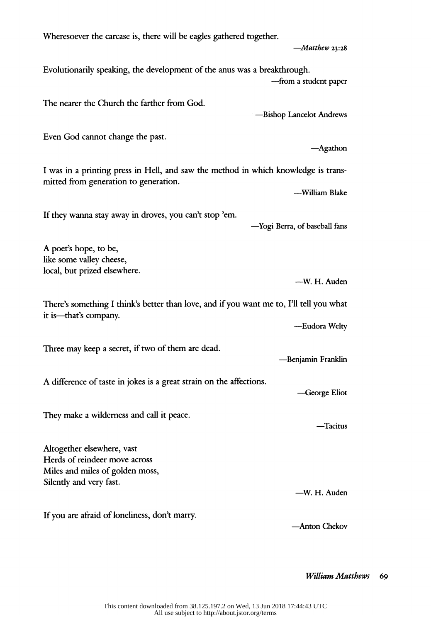Wheresoever the carcase is, there will be eagles gathered together.  $-Matthew$  23:28 Evolutionarily speaking, the development of the anus was a breakthrough. -from a student paper The nearer the Church the farther from God. -Bishop Lancelot Andrews Even God cannot change the past. -Agathon I was in a printing press in Hell, and saw the method in which knowledge is trans mitted from generation to generation. -William Blake If they wanna stay away in droves, you can't stop 'em. - Yogi Berra, of baseball fans A poet's hope, to be, like some valley cheese, local, but prized elsewhere. -W. H. Auden There's something I think's better than love, and if you want me to, I'll tell you what it is—that's company. -Eudora Welty Three may keep a secret, if two of them are dead. -Benjamin Franklin A difference of taste in jokes is a great strain on the affections. -George Eliot They make a wilderness and call it peace. -Tacitus Altogether elsewhere, vast Herds of reindeer move across Miles and miles of golden moss, Silently and very fast. -W. H. Auden If you are afraid of loneliness, don't marry. - Anton Chekov

William Matthews 69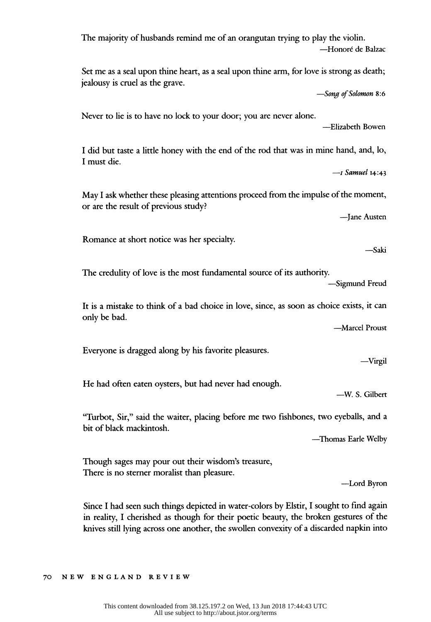| The majority of husbands remind me of an orangutan trying to play the violin.<br>-Honoré de Balzac                                                   |  |
|------------------------------------------------------------------------------------------------------------------------------------------------------|--|
| Set me as a seal upon thine heart, as a seal upon thine arm, for love is strong as death;<br>jealousy is cruel as the grave.<br>-Song of Solomon 8:6 |  |
| Never to lie is to have no lock to your door; you are never alone.<br>-Elizabeth Bowen                                                               |  |
| I did but taste a little honey with the end of the rod that was in mine hand, and, lo,<br>I must die.<br>$-$ I Samuel 14:43                          |  |
| May I ask whether these pleasing attentions proceed from the impulse of the moment,<br>or are the result of previous study?<br>-Jane Austen          |  |
| Romance at short notice was her specialty.<br>—Saki                                                                                                  |  |
| The credulity of love is the most fundamental source of its authority.<br>-Sigmund Freud                                                             |  |
| It is a mistake to think of a bad choice in love, since, as soon as choice exists, it can<br>only be bad.<br>-Marcel Proust                          |  |
| Everyone is dragged along by his favorite pleasures.<br>-Virgil                                                                                      |  |
| He had often eaten oysters, but had never had enough.<br>-W. S. Gilbert                                                                              |  |
| "Turbot, Sir," said the waiter, placing before me two fishbones, two eyeballs, and a<br>bit of black mackintosh.<br>-Thomas Earle Welby              |  |
| Though sages may pour out their wisdom's treasure,<br>There is no sterner moralist than pleasure.<br>-Lord Byron                                     |  |
|                                                                                                                                                      |  |

 Since I had seen such things depicted in water-colors by Elstir, I sought to find again in reality, I cherished as though for their poetic beauty, the broken gestures of the knives still lying across one another, the swollen convexity of a discarded napkin into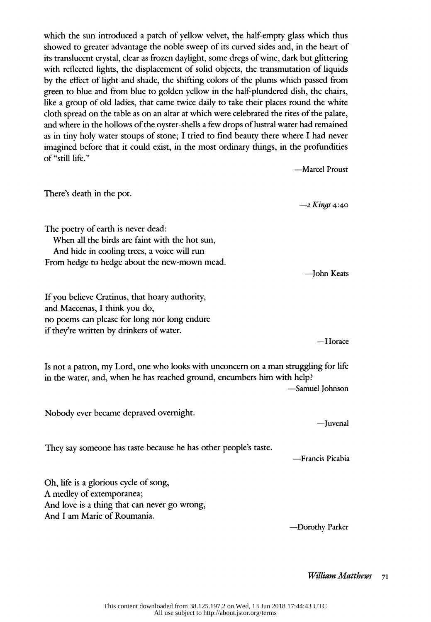which the sun introduced a patch of yellow velvet, the half-empty glass which thus showed to greater advantage the noble sweep of its curved sides and, in the heart of its translucent crystal, clear as frozen daylight, some dregs of wine, dark but glittering with reflected lights, the displacement of solid objects, the transmutation of liquids by the effect of light and shade, the shifting colors of the plums which passed from green to blue and from blue to golden yellow in the half-plundered dish, the chairs, like a group of old ladies, that came twice daily to take their places round the white cloth spread on the table as on an altar at which were celebrated the rites of the palate, and where in the hollows of the oyster-shells a few drops of lustral water had remained as in tiny holy water stoups of stone; I tried to find beauty there where I had never imagined before that it could exist, in the most ordinary things, in the profundities of "still life."

-Marcel Proust

 There's death in the pot.  $-$ 2 Kings 4:40 The poetry of earth is never dead: When all the birds are faint with the hot sun, And hide in cooling trees, a voice will run From hedge to hedge about the new-mown mead. - John Keats If you believe Cratinus, that hoary authority, and Maecenas, I think you do, no poems can please for long nor long endure if they're written by drinkers of water. -Horace Is not a patron, my Lord, one who looks with unconcern on a man struggling for life in the water, and, when he has reached ground, encumbers him with help? -Samuel Johnson Nobody ever became depraved overnight. - Juvenal They say someone has taste because he has other people's taste. - Francis Picabia Oh, life is a glorious cycle of song, A medley of extemporanea; And love is a thing that can never go wrong, And I am Marie of Roumania. -Dorothy Parker